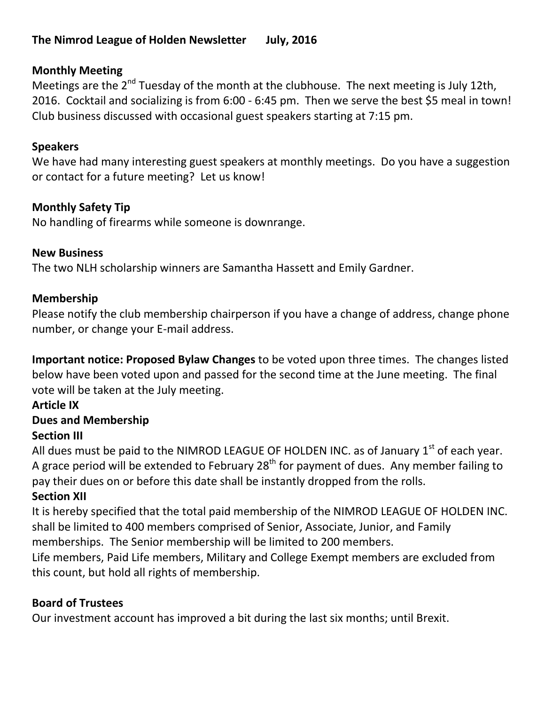## **The Nimrod League of Holden Newsletter July, 2016**

## **Monthly Meeting**

Meetings are the 2<sup>nd</sup> Tuesday of the month at the clubhouse. The next meeting is July 12th, 2016. Cocktail and socializing is from 6:00 - 6:45 pm. Then we serve the best \$5 meal in town! Club business discussed with occasional guest speakers starting at 7:15 pm.

## **Speakers**

We have had many interesting guest speakers at monthly meetings. Do you have a suggestion or contact for a future meeting? Let us know!

## **Monthly Safety Tip**

No handling of firearms while someone is downrange.

## **New Business**

The two NLH scholarship winners are Samantha Hassett and Emily Gardner.

## **Membership**

Please notify the club membership chairperson if you have a change of address, change phone number, or change your E-mail address.

**Important notice: Proposed Bylaw Changes** to be voted upon three times. The changes listed below have been voted upon and passed for the second time at the June meeting. The final vote will be taken at the July meeting.

## **Article IX**

## **Dues and Membership**

## **Section III**

All dues must be paid to the NIMROD LEAGUE OF HOLDEN INC. as of January  $1<sup>st</sup>$  of each year. A grace period will be extended to February  $28<sup>th</sup>$  for payment of dues. Any member failing to pay their dues on or before this date shall be instantly dropped from the rolls.

## **Section XII**

It is hereby specified that the total paid membership of the NIMROD LEAGUE OF HOLDEN INC. shall be limited to 400 members comprised of Senior, Associate, Junior, and Family memberships. The Senior membership will be limited to 200 members.

Life members, Paid Life members, Military and College Exempt members are excluded from this count, but hold all rights of membership.

# **Board of Trustees**

Our investment account has improved a bit during the last six months; until Brexit.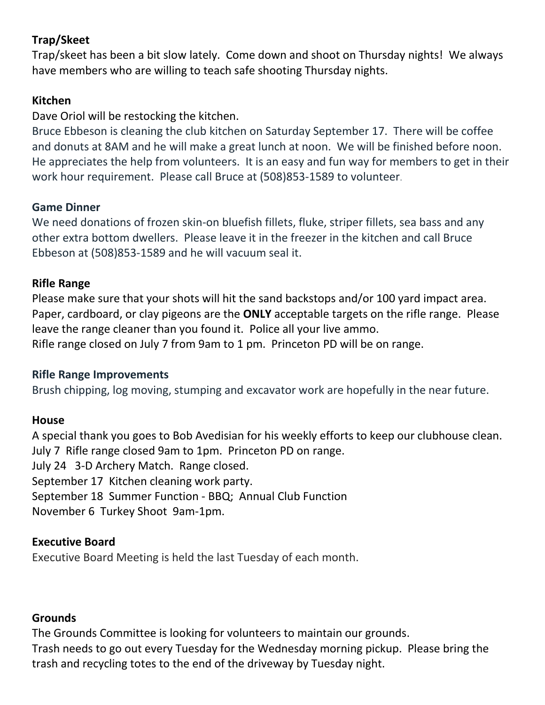## **Trap/Skeet**

Trap/skeet has been a bit slow lately. Come down and shoot on Thursday nights! We always have members who are willing to teach safe shooting Thursday nights.

### **Kitchen**

#### Dave Oriol will be restocking the kitchen.

Bruce Ebbeson is cleaning the club kitchen on Saturday September 17. There will be coffee and donuts at 8AM and he will make a great lunch at noon. We will be finished before noon. He appreciates the help from volunteers. It is an easy and fun way for members to get in their work hour requirement. Please call Bruce at (508)853-1589 to volunteer.

#### **Game Dinner**

We need donations of frozen skin-on bluefish fillets, fluke, striper fillets, sea bass and any other extra bottom dwellers. Please leave it in the freezer in the kitchen and call Bruce Ebbeson at (508)853-1589 and he will vacuum seal it.

#### **Rifle Range**

Please make sure that your shots will hit the sand backstops and/or 100 yard impact area. Paper, cardboard, or clay pigeons are the **ONLY** acceptable targets on the rifle range. Please leave the range cleaner than you found it. Police all your live ammo. Rifle range closed on July 7 from 9am to 1 pm. Princeton PD will be on range.

#### **Rifle Range Improvements**

Brush chipping, log moving, stumping and excavator work are hopefully in the near future.

#### **House**

A special thank you goes to Bob Avedisian for his weekly efforts to keep our clubhouse clean. July 7 Rifle range closed 9am to 1pm. Princeton PD on range. July 24 3-D Archery Match. Range closed. September 17 Kitchen cleaning work party. September 18 Summer Function - BBQ; Annual Club Function November 6 Turkey Shoot 9am-1pm.

#### **Executive Board**

Executive Board Meeting is held the last Tuesday of each month.

#### **Grounds**

The Grounds Committee is looking for volunteers to maintain our grounds. Trash needs to go out every Tuesday for the Wednesday morning pickup. Please bring the trash and recycling totes to the end of the driveway by Tuesday night.